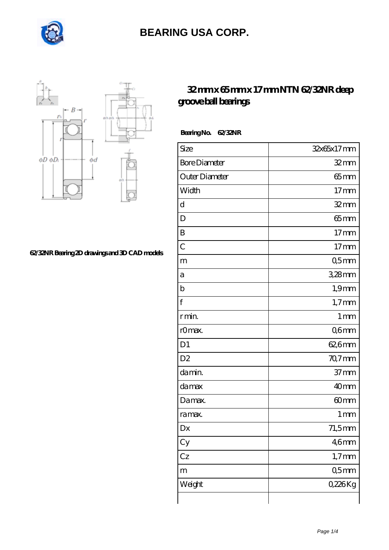



#### **[62/32NR Bearing 2D drawings and 3D CAD models](https://m.internationalbonsaiforum.com/pic-65127934.html)**

### **[32 mm x 65 mm x 17 mm NTN 62/32NR deep](https://m.internationalbonsaiforum.com/ntn-62-32nr-bearing/) [groove ball bearings](https://m.internationalbonsaiforum.com/ntn-62-32nr-bearing/)**

 **Bearing No. 62/32NR**

| Size                 | 32x65x17mm       |
|----------------------|------------------|
| <b>Bore Diameter</b> | $32$ mm          |
| Outer Diameter       | $65$ mm          |
| Width                | 17 <sub>mm</sub> |
| d                    | $32$ mm          |
| D                    | $65$ mm          |
| B                    | 17 <sub>mm</sub> |
| $\overline{C}$       | $17 \text{mm}$   |
| m                    | Q5mm             |
| а                    | $328$ mm         |
| $\mathbf b$          | $1,9$ mm         |
| f                    | $1,7$ mm         |
| r min.               | 1 <sub>mm</sub>  |
| r0max.               | Q6mm             |
| D1                   | 62,6mm           |
| D <sub>2</sub>       | 70,7mm           |
| da min.              | 37 <sub>mm</sub> |
| damax                | 40 <sub>mm</sub> |
| Damax.               | 60 <sub>mm</sub> |
| ra max.              | $1 \, \text{mm}$ |
| Dx                   | $71,5$ mm        |
| Cy                   | 46 <sub>mm</sub> |
| Cz                   | $1,7$ mm         |
| m                    | 05 <sub>mm</sub> |
| Weight               | 0,226Kg          |
|                      |                  |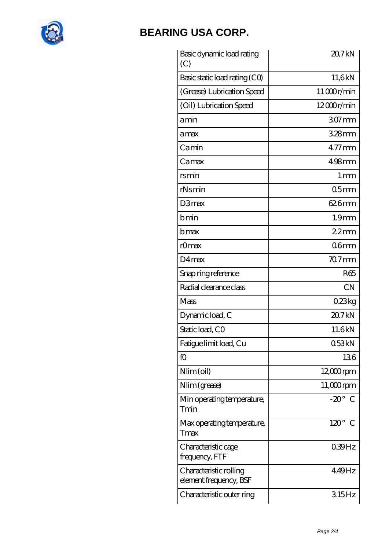

| Basic dynamic load rating<br>(C)                 | 20,7kN            |
|--------------------------------------------------|-------------------|
| Basic static load rating (CO)                    | 11,6kN            |
| (Grease) Lubrication Speed                       | 11000r/min        |
| (Oil) Lubrication Speed                          | 12000r/min        |
| amin                                             | 307 <sub>mm</sub> |
| amax                                             | $328$ mm          |
| Camin                                            | $477$ mm          |
| Camax                                            | $498$ mm          |
| rsmin                                            | 1 mm              |
| rNsmin                                           | 05 <sub>mm</sub>  |
| D3max                                            | 626mm             |
| bmin                                             | 1.9 <sub>mm</sub> |
| bmax                                             | 22mm              |
| rOmax                                            | 06 <sub>mm</sub>  |
| D4max                                            | $707$ mm          |
| Snap ring reference                              | R <sub>65</sub>   |
| Radial clearance class                           | <b>CN</b>         |
| Mass                                             | 0.23kg            |
| Dynamic load, C                                  | 20.7kN            |
| Static load, CO                                  | 11.6kN            |
| Fatigue limit load, Cu                           | 053kN             |
| f(x)                                             | 136               |
| $Nlim$ (oil)                                     | $12,000$ rpm      |
| Nlim (grease)                                    | $11,000$ rpm      |
| Min operating temperature,<br>Tmin               | $-20^\circ$ C     |
| Max operating temperature,<br>Tmax               | $120^\circ$ C     |
| Characteristic cage<br>frequency, FTF            | 039Hz             |
| Characteristic rolling<br>element frequency, BSF | 449Hz             |
| Characteristic outer ring                        | 315Hz             |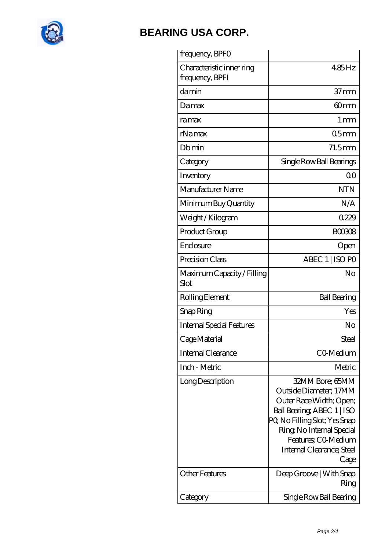

| frequency, BPFO                              |                                                                                                                                                                                                                             |
|----------------------------------------------|-----------------------------------------------------------------------------------------------------------------------------------------------------------------------------------------------------------------------------|
| Characteristic inner ring<br>frequency, BPFI | 485Hz                                                                                                                                                                                                                       |
| damin                                        | $37 \text{mm}$                                                                                                                                                                                                              |
| Damax                                        | 60 <sub>mm</sub>                                                                                                                                                                                                            |
| ramax                                        | $1 \,\mathrm{mm}$                                                                                                                                                                                                           |
| rNamax                                       | 05 <sub>mm</sub>                                                                                                                                                                                                            |
| Dbmin                                        | $71.5$ mm                                                                                                                                                                                                                   |
| Category                                     | Single Row Ball Bearings                                                                                                                                                                                                    |
| Inventory                                    | 0 <sup>0</sup>                                                                                                                                                                                                              |
| Manufacturer Name                            | <b>NTN</b>                                                                                                                                                                                                                  |
| Minimum Buy Quantity                         | N/A                                                                                                                                                                                                                         |
| Weight / Kilogram                            | 0229                                                                                                                                                                                                                        |
| Product Group                                | <b>BOO308</b>                                                                                                                                                                                                               |
| Enclosure                                    | Open                                                                                                                                                                                                                        |
| Precision Class                              | ABEC 1   ISO PO                                                                                                                                                                                                             |
| Maximum Capacity / Filling<br>Slot           | No                                                                                                                                                                                                                          |
| Rolling Element                              | <b>Ball Bearing</b>                                                                                                                                                                                                         |
| Snap Ring                                    | Yes                                                                                                                                                                                                                         |
| <b>Internal Special Features</b>             | No                                                                                                                                                                                                                          |
| Cage Material                                | Steel                                                                                                                                                                                                                       |
| Internal Clearance                           | CO-Medium                                                                                                                                                                                                                   |
| Inch - Metric                                | Metric                                                                                                                                                                                                                      |
| Long Description                             | 32MM Bore; 65MM<br>Outside Diameter: 17MM<br>Outer Race Width; Open;<br>Ball Bearing, ABEC 1   ISO<br>PQ No Filling Slot; Yes Snap<br>Ring, No Internal Special<br>Features; CO-Medium<br>Internal Clearance; Steel<br>Cage |
| <b>Other Features</b>                        | Deep Groove   With Snap<br>Ring                                                                                                                                                                                             |
| Category                                     | Single Row Ball Bearing                                                                                                                                                                                                     |